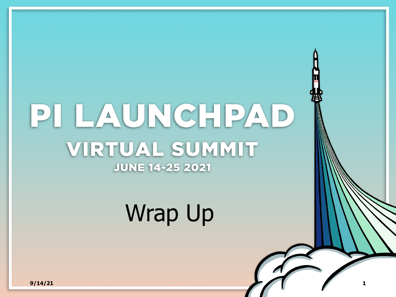# PILAUNCHPAD VIRTUAL SUMMIT **JUNE 14-25 2021**

# Wrap Up

**9/14/21 1**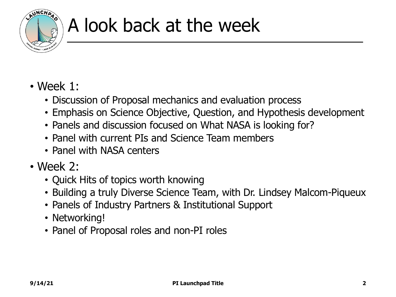

## A look back at the week

#### • Week 1:

- Discussion of Proposal mechanics and evaluation process
- Emphasis on Science Objective, Question, and Hypothesis development
- Panels and discussion focused on What NASA is looking for?
- Panel with current PIs and Science Team members
- Panel with NASA centers
- Week 2:
	- Quick Hits of topics worth knowing
	- Building a truly Diverse Science Team, with Dr. Lindsey Malcom-Piqueux
	- Panels of Industry Partners & Institutional Support
	- Networking!
	- Panel of Proposal roles and non-PI roles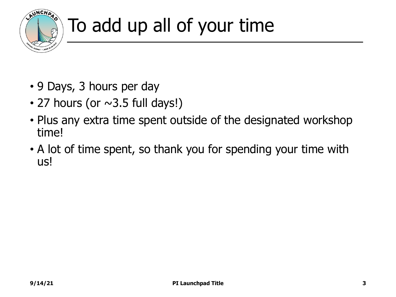

## To add up all of your time

- 9 Days, 3 hours per day
- 27 hours (or  $\sim$ 3.5 full days!)
- Plus any extra time spent outside of the designated workshop time!
- A lot of time spent, so thank you for spending your time with us!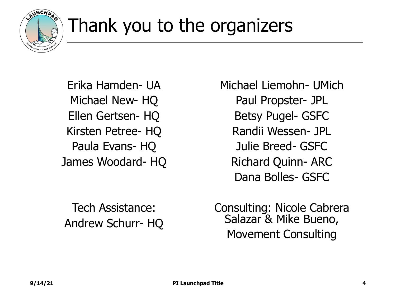

## Thank you to the organizers

Erika Hamden- UA Michael New- HQ Ellen Gertsen- HQ Kirsten Petree- HQ Paula Evans- HQ James Woodard- HQ Michael Liemohn- UMich Paul Propster- JPL Betsy Pugel- GSFC Randii Wessen- JPL Julie Breed- GSFC Richard Quinn- ARC Dana Bolles- GSFC

Tech Assistance: Andrew Schurr- HQ Consulting: Nicole Cabrera Salazar & Mike Bueno, Movement Consulting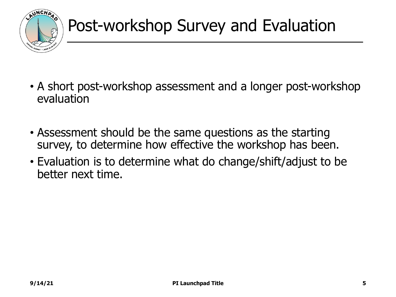

- A short post-workshop assessment and a longer post-workshop evaluation
- Assessment should be the same questions as the starting survey, to determine how effective the workshop has been.
- Evaluation is to determine what do change/shift/adjust to be better next time.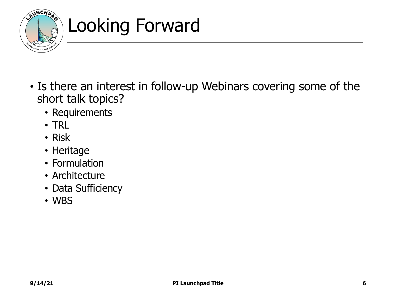

## Looking Forward

- Is there an interest in follow-up Webinars covering some of the short talk topics?
	- Requirements
	- TRL
	- Risk
	- Heritage
	- Formulation
	- Architecture
	- Data Sufficiency
	- WBS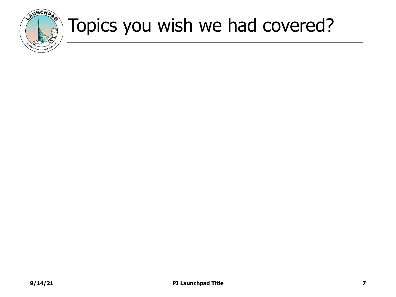

### Topics you wish we had covered?